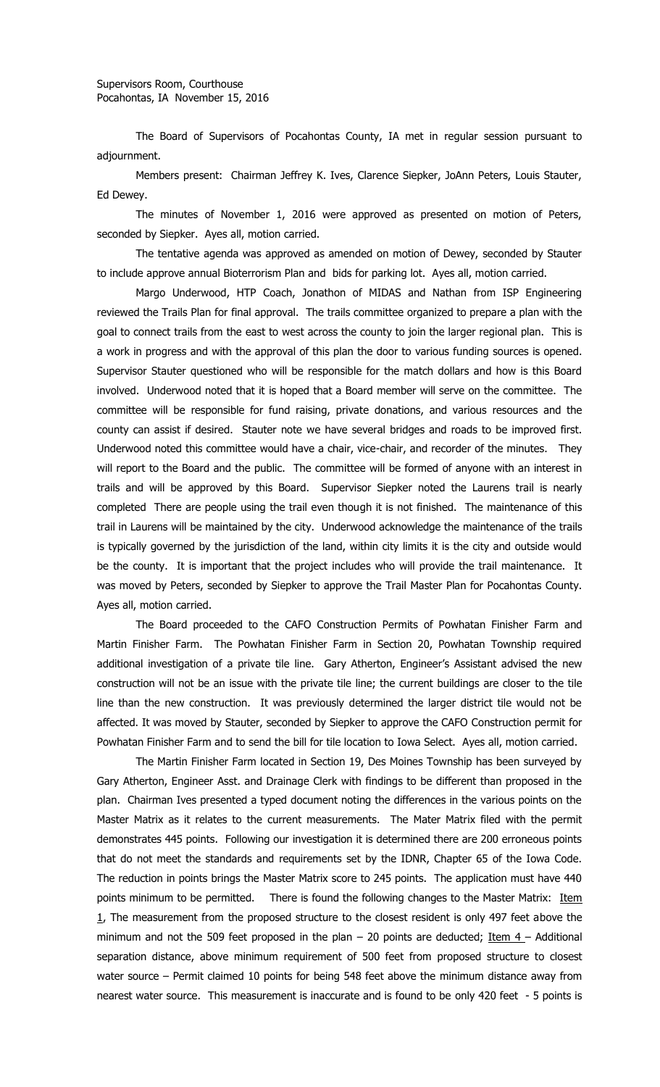The Board of Supervisors of Pocahontas County, IA met in regular session pursuant to adjournment.

Members present: Chairman Jeffrey K. Ives, Clarence Siepker, JoAnn Peters, Louis Stauter, Ed Dewey.

The minutes of November 1, 2016 were approved as presented on motion of Peters, seconded by Siepker. Ayes all, motion carried.

The tentative agenda was approved as amended on motion of Dewey, seconded by Stauter to include approve annual Bioterrorism Plan and bids for parking lot. Ayes all, motion carried.

Margo Underwood, HTP Coach, Jonathon of MIDAS and Nathan from ISP Engineering reviewed the Trails Plan for final approval. The trails committee organized to prepare a plan with the goal to connect trails from the east to west across the county to join the larger regional plan. This is a work in progress and with the approval of this plan the door to various funding sources is opened. Supervisor Stauter questioned who will be responsible for the match dollars and how is this Board involved. Underwood noted that it is hoped that a Board member will serve on the committee. The committee will be responsible for fund raising, private donations, and various resources and the county can assist if desired. Stauter note we have several bridges and roads to be improved first. Underwood noted this committee would have a chair, vice-chair, and recorder of the minutes. They will report to the Board and the public. The committee will be formed of anyone with an interest in trails and will be approved by this Board. Supervisor Siepker noted the Laurens trail is nearly completed There are people using the trail even though it is not finished. The maintenance of this trail in Laurens will be maintained by the city. Underwood acknowledge the maintenance of the trails is typically governed by the jurisdiction of the land, within city limits it is the city and outside would be the county. It is important that the project includes who will provide the trail maintenance. It was moved by Peters, seconded by Siepker to approve the Trail Master Plan for Pocahontas County. Ayes all, motion carried.

The Board proceeded to the CAFO Construction Permits of Powhatan Finisher Farm and Martin Finisher Farm. The Powhatan Finisher Farm in Section 20, Powhatan Township required additional investigation of a private tile line. Gary Atherton, Engineer's Assistant advised the new construction will not be an issue with the private tile line; the current buildings are closer to the tile line than the new construction. It was previously determined the larger district tile would not be affected. It was moved by Stauter, seconded by Siepker to approve the CAFO Construction permit for Powhatan Finisher Farm and to send the bill for tile location to Iowa Select. Ayes all, motion carried.

The Martin Finisher Farm located in Section 19, Des Moines Township has been surveyed by Gary Atherton, Engineer Asst. and Drainage Clerk with findings to be different than proposed in the plan. Chairman Ives presented a typed document noting the differences in the various points on the Master Matrix as it relates to the current measurements. The Mater Matrix filed with the permit demonstrates 445 points. Following our investigation it is determined there are 200 erroneous points that do not meet the standards and requirements set by the IDNR, Chapter 65 of the Iowa Code. The reduction in points brings the Master Matrix score to 245 points. The application must have 440 points minimum to be permitted. There is found the following changes to the Master Matrix: Item  $1$ , The measurement from the proposed structure to the closest resident is only 497 feet above the minimum and not the 509 feet proposed in the plan – 20 points are deducted; Item  $4$  – Additional separation distance, above minimum requirement of 500 feet from proposed structure to closest water source – Permit claimed 10 points for being 548 feet above the minimum distance away from nearest water source. This measurement is inaccurate and is found to be only 420 feet - 5 points is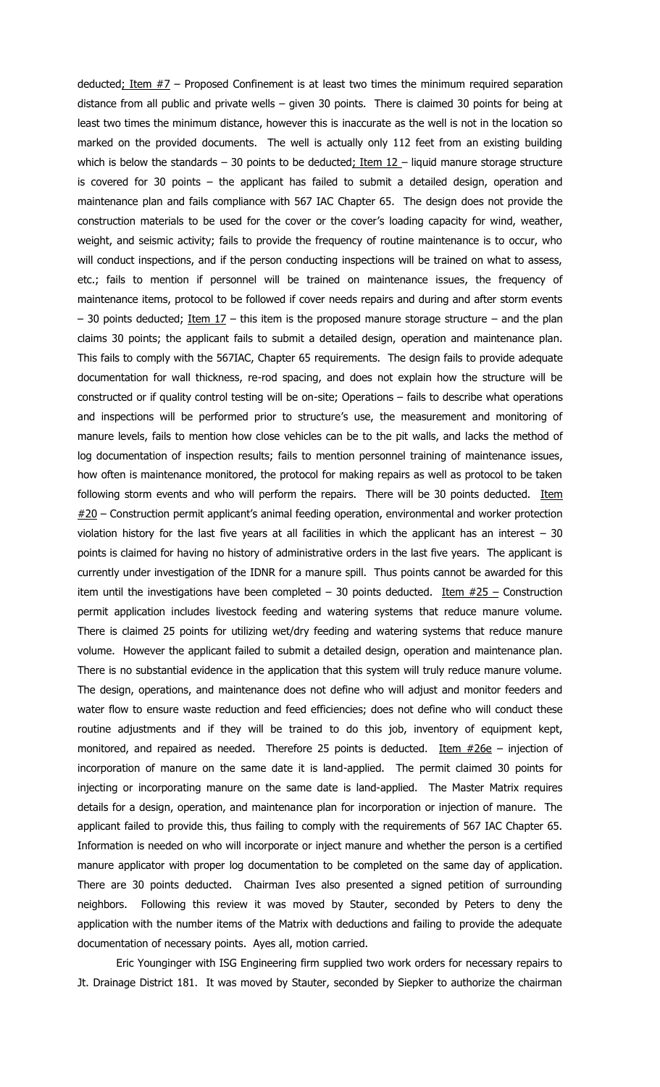deducted; Item  $#7$  – Proposed Confinement is at least two times the minimum required separation distance from all public and private wells – given 30 points. There is claimed 30 points for being at least two times the minimum distance, however this is inaccurate as the well is not in the location so marked on the provided documents. The well is actually only 112 feet from an existing building which is below the standards – 30 points to be deducted; Item  $12$  – liquid manure storage structure is covered for 30 points – the applicant has failed to submit a detailed design, operation and maintenance plan and fails compliance with 567 IAC Chapter 65. The design does not provide the construction materials to be used for the cover or the cover's loading capacity for wind, weather, weight, and seismic activity; fails to provide the frequency of routine maintenance is to occur, who will conduct inspections, and if the person conducting inspections will be trained on what to assess, etc.; fails to mention if personnel will be trained on maintenance issues, the frequency of maintenance items, protocol to be followed if cover needs repairs and during and after storm events  $-$  30 points deducted; Item 17 – this item is the proposed manure storage structure  $-$  and the plan claims 30 points; the applicant fails to submit a detailed design, operation and maintenance plan. This fails to comply with the 567IAC, Chapter 65 requirements. The design fails to provide adequate documentation for wall thickness, re-rod spacing, and does not explain how the structure will be constructed or if quality control testing will be on-site; Operations – fails to describe what operations and inspections will be performed prior to structure's use, the measurement and monitoring of manure levels, fails to mention how close vehicles can be to the pit walls, and lacks the method of log documentation of inspection results; fails to mention personnel training of maintenance issues, how often is maintenance monitored, the protocol for making repairs as well as protocol to be taken following storm events and who will perform the repairs. There will be 30 points deducted. Item  $#20$  – Construction permit applicant's animal feeding operation, environmental and worker protection violation history for the last five years at all facilities in which the applicant has an interest  $-30$ points is claimed for having no history of administrative orders in the last five years. The applicant is currently under investigation of the IDNR for a manure spill. Thus points cannot be awarded for this item until the investigations have been completed – 30 points deducted. Item  $#25 -$  Construction permit application includes livestock feeding and watering systems that reduce manure volume. There is claimed 25 points for utilizing wet/dry feeding and watering systems that reduce manure volume. However the applicant failed to submit a detailed design, operation and maintenance plan. There is no substantial evidence in the application that this system will truly reduce manure volume. The design, operations, and maintenance does not define who will adjust and monitor feeders and water flow to ensure waste reduction and feed efficiencies; does not define who will conduct these routine adjustments and if they will be trained to do this job, inventory of equipment kept, monitored, and repaired as needed. Therefore 25 points is deducted. Item  $\#26e$  – injection of incorporation of manure on the same date it is land-applied. The permit claimed 30 points for injecting or incorporating manure on the same date is land-applied. The Master Matrix requires details for a design, operation, and maintenance plan for incorporation or injection of manure. The applicant failed to provide this, thus failing to comply with the requirements of 567 IAC Chapter 65. Information is needed on who will incorporate or inject manure and whether the person is a certified manure applicator with proper log documentation to be completed on the same day of application. There are 30 points deducted. Chairman Ives also presented a signed petition of surrounding neighbors. Following this review it was moved by Stauter, seconded by Peters to deny the application with the number items of the Matrix with deductions and failing to provide the adequate documentation of necessary points. Ayes all, motion carried.

Eric Younginger with ISG Engineering firm supplied two work orders for necessary repairs to Jt. Drainage District 181. It was moved by Stauter, seconded by Siepker to authorize the chairman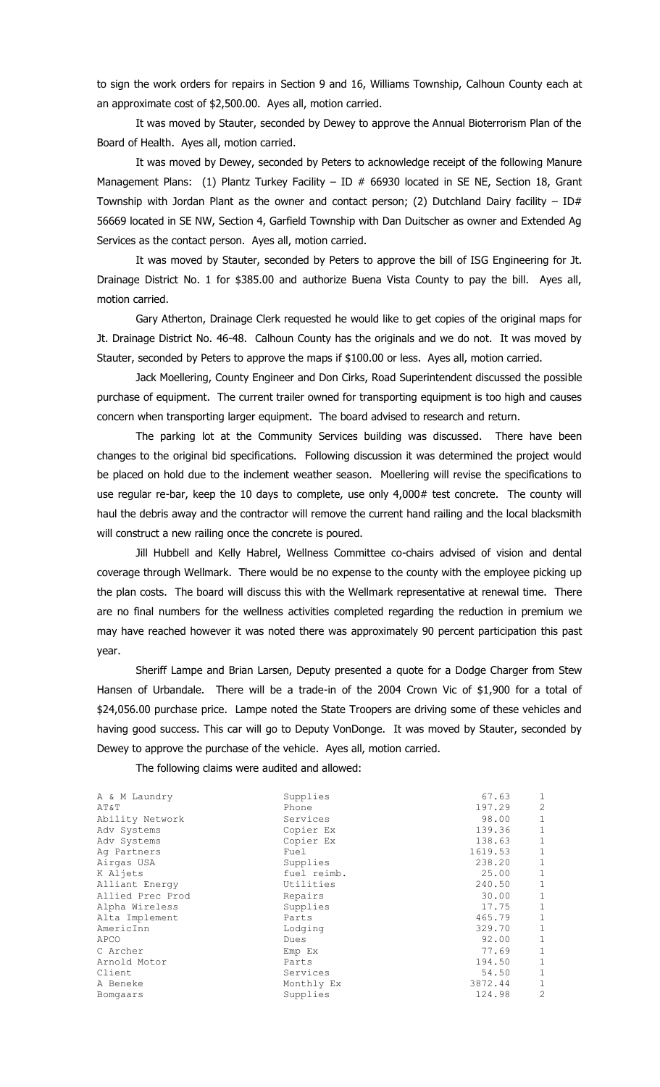to sign the work orders for repairs in Section 9 and 16, Williams Township, Calhoun County each at an approximate cost of \$2,500.00. Ayes all, motion carried.

It was moved by Stauter, seconded by Dewey to approve the Annual Bioterrorism Plan of the Board of Health. Ayes all, motion carried.

It was moved by Dewey, seconded by Peters to acknowledge receipt of the following Manure Management Plans: (1) Plantz Turkey Facility - ID  $#$  66930 located in SE NE, Section 18, Grant Township with Jordan Plant as the owner and contact person; (2) Dutchland Dairy facility  $-$  ID# 56669 located in SE NW, Section 4, Garfield Township with Dan Duitscher as owner and Extended Ag Services as the contact person. Ayes all, motion carried.

It was moved by Stauter, seconded by Peters to approve the bill of ISG Engineering for Jt. Drainage District No. 1 for \$385.00 and authorize Buena Vista County to pay the bill. Ayes all, motion carried.

Gary Atherton, Drainage Clerk requested he would like to get copies of the original maps for Jt. Drainage District No. 46-48. Calhoun County has the originals and we do not. It was moved by Stauter, seconded by Peters to approve the maps if \$100.00 or less. Ayes all, motion carried.

Jack Moellering, County Engineer and Don Cirks, Road Superintendent discussed the possible purchase of equipment. The current trailer owned for transporting equipment is too high and causes concern when transporting larger equipment. The board advised to research and return.

The parking lot at the Community Services building was discussed. There have been changes to the original bid specifications. Following discussion it was determined the project would be placed on hold due to the inclement weather season. Moellering will revise the specifications to use regular re-bar, keep the 10 days to complete, use only 4,000# test concrete. The county will haul the debris away and the contractor will remove the current hand railing and the local blacksmith will construct a new railing once the concrete is poured.

Jill Hubbell and Kelly Habrel, Wellness Committee co-chairs advised of vision and dental coverage through Wellmark. There would be no expense to the county with the employee picking up the plan costs. The board will discuss this with the Wellmark representative at renewal time. There are no final numbers for the wellness activities completed regarding the reduction in premium we may have reached however it was noted there was approximately 90 percent participation this past year.

Sheriff Lampe and Brian Larsen, Deputy presented a quote for a Dodge Charger from Stew Hansen of Urbandale. There will be a trade-in of the 2004 Crown Vic of \$1,900 for a total of \$24,056.00 purchase price. Lampe noted the State Troopers are driving some of these vehicles and having good success. This car will go to Deputy VonDonge. It was moved by Stauter, seconded by Dewey to approve the purchase of the vehicle. Ayes all, motion carried.

The following claims were audited and allowed:

| A & M Laundry    | Supplies    | 67.63   | 1              |
|------------------|-------------|---------|----------------|
| AT&T             | Phone       | 197.29  | $\overline{2}$ |
| Ability Network  | Services    | 98.00   | $\mathbf 1$    |
| Adv Systems      | Copier Ex   | 139.36  | 1              |
| Adv Systems      | Copier Ex   | 138.63  | 1              |
| Ag Partners      | Fuel        | 1619.53 | 1              |
| Airgas USA       | Supplies    | 238.20  | $\mathbf 1$    |
| K Aljets         | fuel reimb. | 25.00   | $\mathbf 1$    |
| Alliant Energy   | Utilities   | 240.50  | $\mathbf 1$    |
| Allied Prec Prod | Repairs     | 30.00   |                |
| Alpha Wireless   | Supplies    | 17.75   | $\mathbf 1$    |
| Alta Implement   | Parts       | 465.79  | $\mathbf 1$    |
| AmericInn        | Lodging     | 329.70  | 1              |
| APCO             | Dues        | 92.00   | $\mathbf 1$    |
| C Archer         | Emp Ex      | 77.69   | 1              |
| Arnold Motor     | Parts       | 194.50  | $\mathbf 1$    |
| Client           | Services    | 54.50   | $\mathbf 1$    |
| A Beneke         | Monthly Ex  | 3872.44 | 1              |
| Bomgaars         | Supplies    | 124.98  | $\overline{2}$ |
|                  |             |         |                |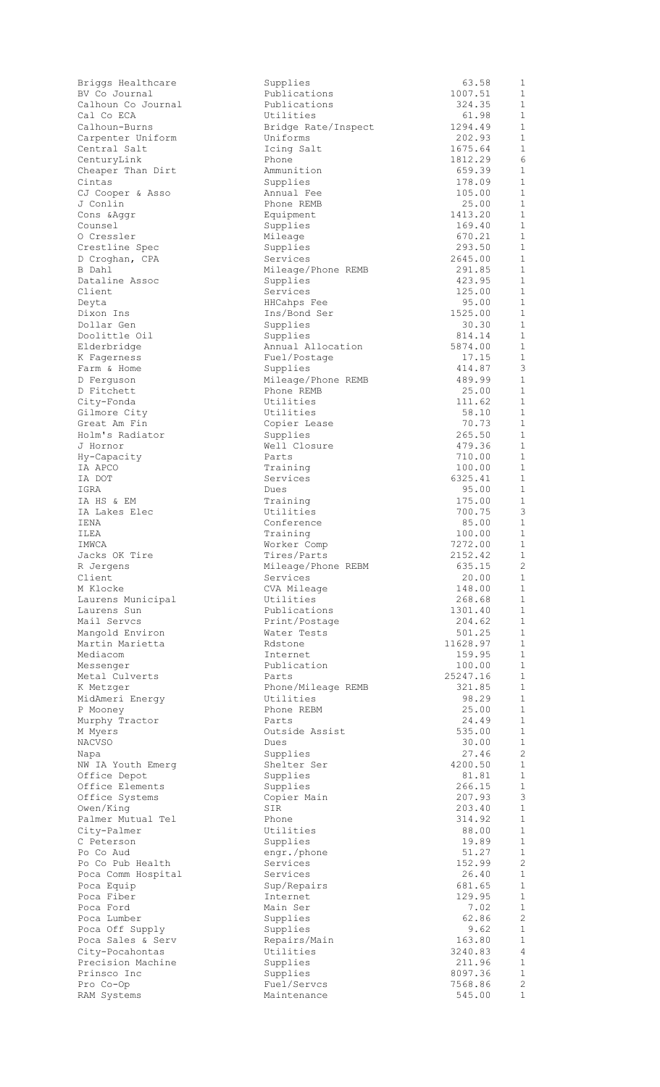| Briggs Healthcare<br>BV Co Journal   |
|--------------------------------------|
| Calhoun Co Journal                   |
| Cal Co ECA                           |
| Calhoun-Burns                        |
| Carpenter Uniform                    |
| Central Salt                         |
| CenturyLink                          |
| Cheaper Than Dirt                    |
| Cintas                               |
| CJ Cooper & Asso                     |
| J Conlin                             |
| Cons & Aggr<br>Counsel               |
| O Cressler                           |
| Crestline Spec                       |
| D Croghan, CPA                       |
| B Dahl                               |
| Dataline Assoc                       |
| Client                               |
| Deyta                                |
| Dixon Ins                            |
| Dollar Gen                           |
| Doolittle Oil                        |
| Elderbridge                          |
| K Fagerness                          |
| Farm & Home                          |
| D Ferguson                           |
| D Fitchett                           |
| City-Fonda                           |
| Gilmore City<br>Great Am Fin         |
| Holm's Radiator                      |
| J Hornor                             |
|                                      |
| Hy-Capacity<br>IA APCO               |
| IA DOT                               |
| IGRA                                 |
| IA HS & EM                           |
| IA Lakes Elec                        |
| IENA                                 |
| ILEA                                 |
| IMWCA                                |
| Jacks OK Tire                        |
| R Jergens<br>Client                  |
| M Klocke                             |
|                                      |
| Laurens Municipal<br>Laurens Sun     |
| Mail Servcs                          |
| Mangold Environ                      |
| Martin Marietta                      |
| Mediacom                             |
| Messenger                            |
| Metal Culverts                       |
| K Metzger                            |
| MidAmeri Energy                      |
| P Mooney                             |
| Murphy Tractor                       |
| M Myers                              |
|                                      |
| <b>NACVSO</b>                        |
| Napa                                 |
| NW IA Youth Emerg                    |
| Office Depot                         |
|                                      |
| Office Elements<br>Office Systems    |
| Owen/King                            |
| Palmer Mutual Tel<br>City-Palmer     |
| C Peterson                           |
| Po Co Aud                            |
| Po Co Pub Health                     |
| Poca Comm Hospital                   |
| Poca Equip                           |
|                                      |
| Poca Fiber<br>Poca Ford              |
| Poca Lumber                          |
|                                      |
| Poca Off Supply<br>Poca Sales & Serv |
| City-Pocahontas                      |
| Precision Machine                    |
| Prinsco Inc                          |
| Pro Co-Op<br>RAM Systems             |

| Briggs Healthcare  | Supplies            | 63.58    | 1              |
|--------------------|---------------------|----------|----------------|
| BV Co Journal      | Publications        | 1007.51  | $\mathbf{1}$   |
| Calhoun Co Journal | Publications        | 324.35   | 1              |
| Cal Co ECA         | Utilities           | 61.98    | $\mathbf{1}$   |
| Calhoun-Burns      | Bridge Rate/Inspect | 1294.49  | $\mathbf 1$    |
| Carpenter Uniform  | Uniforms            | 202.93   | $\mathbf{1}$   |
|                    |                     |          | $\mathbf{1}$   |
| Central Salt       | Icing Salt          | 1675.64  |                |
| CenturyLink        | Phone               | 1812.29  | 6              |
| Cheaper Than Dirt  | Ammunition          | 659.39   | $\mathbf 1$    |
| Cintas             | Supplies            | 178.09   | $\mathbf 1$    |
| CJ Cooper & Asso   | Annual Fee          | 105.00   | $\mathbf{1}$   |
| J Conlin           | Phone REMB          | 25.00    | $\mathbf 1$    |
| Cons & Aqqr        | Equipment           | 1413.20  | $\mathbf{1}$   |
| Counsel            | Supplies            | 169.40   | $\mathbf{1}$   |
|                    |                     |          |                |
| 0 Cressler         | Mileage             | 670.21   | $\mathbf 1$    |
| Crestline Spec     | Supplies            | 293.50   | 1              |
| D Croghan, CPA     | Services            | 2645.00  | $\mathbf{1}$   |
| B Dahl             | Mileage/Phone REMB  | 291.85   | $\mathbf 1$    |
| Dataline Assoc     | Supplies            | 423.95   | $\mathbf{1}$   |
| Client             | Services            | 125.00   | $\mathbf 1$    |
| Deyta              | HHCahps Fee         | 95.00    | $\mathbf 1$    |
|                    |                     | 1525.00  | $\mathbf 1$    |
| Dixon Ins          | Ins/Bond Ser        |          |                |
| Dollar Gen         | Supplies            | 30.30    | $\mathbf 1$    |
| Doolittle Oil      | Supplies            | 814.14   | $\mathbf{1}$   |
| Elderbridge        | Annual Allocation   | 5874.00  | $\mathbf 1$    |
| K Fagerness        | Fuel/Postage        | 17.15    | $\mathbf 1$    |
| Farm & Home        | Supplies            | 414.87   | 3              |
| D Ferguson         | Mileage/Phone REMB  | 489.99   | $\mathbf 1$    |
| D Fitchett         | Phone REMB          | 25.00    | $\mathbf{1}$   |
|                    |                     |          |                |
| City-Fonda         | Utilities           | 111.62   | $\mathbf 1$    |
| Gilmore City       | Utilities           | 58.10    | $\mathbf 1$    |
| Great Am Fin       | Copier Lease        | 70.73    | $\mathbf 1$    |
| Holm's Radiator    | Supplies            | 265.50   | $\mathbf 1$    |
| J Hornor           | Well Closure        | 479.36   | $\mathbf{1}$   |
| Hy-Capacity        | Parts               | 710.00   | $\mathbf 1$    |
| IA APCO            | Training            | 100.00   | $\mathbf{1}$   |
|                    |                     |          |                |
| IA DOT             | Services            | 6325.41  | $\mathbf{1}$   |
| IGRA               | Dues                | 95.00    | $\mathbf 1$    |
| IA HS & EM         | Training            | 175.00   | $\mathbf{1}$   |
| IA Lakes Elec      | Utilities           | 700.75   | $\mathfrak{Z}$ |
| IENA               | Conference          | 85.00    | $\mathbf 1$    |
| ILEA               | Training            | 100.00   | 1              |
| IMWCA              | Worker Comp         | 7272.00  | 1              |
| Jacks OK Tire      | Tires/Parts         | 2152.42  | $\mathbf{1}$   |
|                    |                     |          |                |
| R Jergens          | Mileage/Phone REBM  | 635.15   | 2              |
| Client             | Services            | 20.00    | 1              |
| M Klocke           | CVA Mileage         | 148.00   | $\mathbf{1}$   |
| Laurens Municipal  | Utilities           | 268.68   | $\mathbf 1$    |
| Laurens Sun        | Publications        | 1301.40  | $\mathbf{1}$   |
| Mail Servcs        | Print/Postage       | 204.62   | $\mathbf 1$    |
| Mangold Environ    | Water Tests         | 501.25   | $\mathbf 1$    |
| Martin Marietta    | Rdstone             | 11628.97 | $\mathbf 1$    |
|                    |                     | 159.95   | $\mathbf 1$    |
| Mediacom           | Internet            |          |                |
| Messenger          | Publication         | 100.00   | $\mathbf{1}$   |
| Metal Culverts     | Parts               | 25247.16 | $\mathbf 1$    |
| K Metzger          | Phone/Mileage REMB  | 321.85   | $\mathbf 1$    |
| MidAmeri Energy    | Utilities           | 98.29    | $\mathbf{1}$   |
| P Mooney           | Phone REBM          | 25.00    | $\mathbf{1}$   |
| Murphy Tractor     | Parts               | 24.49    | $\mathbf{1}$   |
| M Myers            | Outside Assist      | 535.00   | $\mathbf{1}$   |
| NACVSO             | Dues                | 30.00    | $\mathbf{1}$   |
|                    |                     |          | 2              |
| Napa               | Supplies            | 27.46    |                |
| NW IA Youth Emerg  | Shelter Ser         | 4200.50  | $\mathbf 1$    |
| Office Depot       | Supplies            | 81.81    | $\mathbf{1}$   |
| Office Elements    | Supplies            | 266.15   | $\mathbf{1}$   |
| Office Systems     | Copier Main         | 207.93   | 3              |
| Owen/King          | SIR                 | 203.40   | $\mathbf{1}$   |
| Palmer Mutual Tel  | Phone               | 314.92   | $\mathbf 1$    |
| City-Palmer        | Utilities           | 88.00    | $\mathbf{1}$   |
| C Peterson         | Supplies            | 19.89    | $\mathbf{1}$   |
| Po Co Aud          |                     | 51.27    | $\mathbf{1}$   |
|                    | engr./phone         |          |                |
| Po Co Pub Health   | Services            | 152.99   | 2              |
| Poca Comm Hospital | Services            | 26.40    | $\mathbf 1$    |
| Poca Equip         | Sup/Repairs         | 681.65   | $\mathbf{1}$   |
| Poca Fiber         | Internet            | 129.95   | $\mathbf 1$    |
| Poca Ford          | Main Ser            | 7.02     | $\mathbf{1}$   |
| Poca Lumber        | Supplies            | 62.86    | 2              |
| Poca Off Supply    | Supplies            | 9.62     | $\mathbf{1}$   |
| Poca Sales & Serv  |                     | 163.80   | 1              |
|                    | Repairs/Main        |          |                |
| City-Pocahontas    | Utilities           | 3240.83  | $\overline{4}$ |
| Precision Machine  | Supplies            | 211.96   | $\mathbf 1$    |
| Prinsco Inc        | Supplies            | 8097.36  | $\mathbf 1$    |
| Pro Co-Op          | Fuel/Servcs         | 7568.86  | 2              |
| RAM Systems        | Maintenance         | 545.00   | $\mathbf 1$    |
|                    |                     |          |                |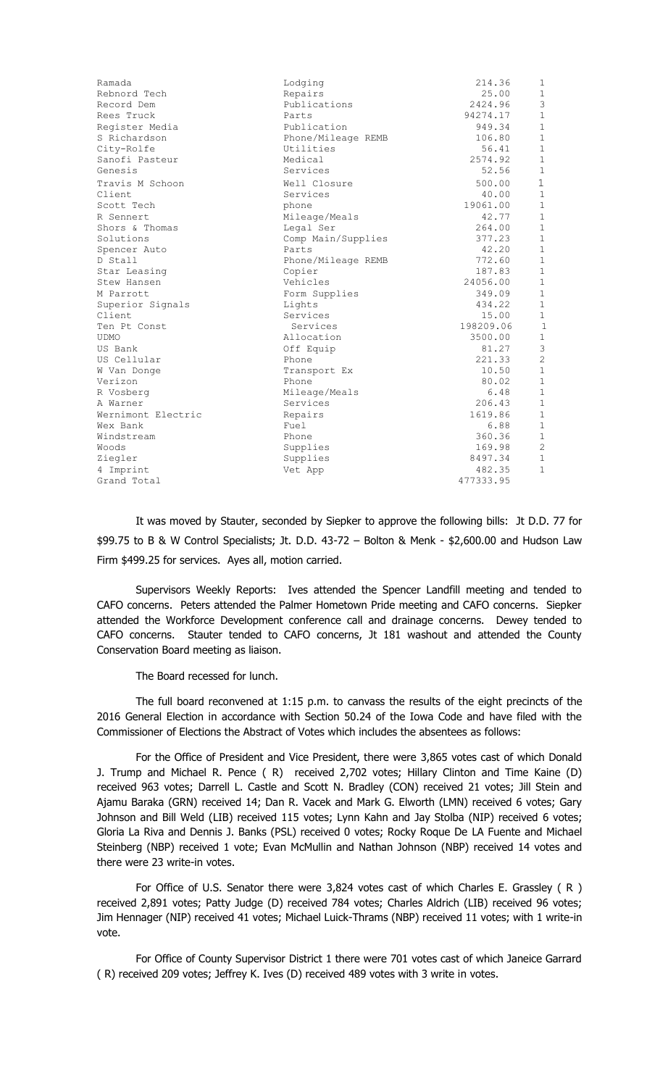| Ramada             | Lodging            | 214.36    | 1              |
|--------------------|--------------------|-----------|----------------|
| Rebnord Tech       | Repairs            | 25.00     | $\mathbf{1}$   |
| Record Dem         | Publications       | 2424.96   | 3              |
| Rees Truck         | Parts              | 94274.17  | $\,1\,$        |
| Register Media     | Publication        | 949.34    | $\mathbf{1}$   |
| S Richardson       | Phone/Mileage REMB | 106.80    | $\mathbf{1}$   |
| City-Rolfe         | Utilities          | 56.41     | $\mathbf{1}$   |
| Sanofi Pasteur     | Medical            | 2574.92   | $\mathbf{1}$   |
| Genesis            | Services           | 52.56     | $\mathbf{1}$   |
| Travis M Schoon    | Well Closure       | 500.00    | $\mathbf 1$    |
| Client             | Services           | 40.00     | $\mathbf{1}$   |
| Scott Tech         | phone              | 19061.00  | $\mathbf{1}$   |
| R Sennert          | Mileage/Meals      | 42.77     | $\mathbf{1}$   |
| Shors & Thomas     | Legal Ser          | 264.00    | $\mathbf{1}$   |
| Solutions          | Comp Main/Supplies | 377.23    | $\mathbf{1}$   |
| Spencer Auto       | Parts              | 42.20     | $\mathbf{1}$   |
| D Stall            | Phone/Mileage REMB | 772.60    | $\mathbf{1}$   |
| Star Leasing       | Copier             | 187.83    | $\mathbf{1}$   |
| Stew Hansen        | Vehicles           | 24056.00  | $\mathbf{1}$   |
| M Parrott          | Form Supplies      | 349.09    | $\mathbf{1}$   |
| Superior Signals   | Lights             | 434.22    | $\mathbf{1}$   |
| Client             | Services           | 15.00     | $\mathbf{1}$   |
| Ten Pt Const       | Services           | 198209.06 | $\mathbf{1}$   |
| <b>UDMO</b>        | Allocation         | 3500.00   | $\mathbf{1}$   |
| US Bank            | Off Equip          | 81.27     | $\mathsf 3$    |
| US Cellular        | Phone              | 221.33    | $\overline{c}$ |
| W Van Donge        | Transport Ex       | 10.50     | $\mathbf{1}$   |
| Verizon            | Phone              | 80.02     | $\mathbf{1}$   |
| R Vosberg          | Mileage/Meals      | 6.48      | $\mathbf{1}$   |
| A Warner           | Services           | 206.43    | $\mathbf{1}$   |
| Wernimont Electric | Repairs            | 1619.86   | $\mathbf{1}$   |
| Wex Bank           | Fuel               | 6.88      | $\mathbf{1}$   |
| Windstream         | Phone              | 360.36    | $\mathbf{1}$   |
| Woods              | Supplies           | 169.98    | $\overline{c}$ |
| Ziegler            | Supplies           | 8497.34   | $\mathbf{1}$   |
| 4 Imprint          | Vet App            | 482.35    | 1              |
| Grand Total        |                    | 477333.95 |                |
|                    |                    |           |                |

It was moved by Stauter, seconded by Siepker to approve the following bills: Jt D.D. 77 for \$99.75 to B & W Control Specialists; Jt. D.D. 43-72 – Bolton & Menk - \$2,600.00 and Hudson Law Firm \$499.25 for services. Ayes all, motion carried.

Supervisors Weekly Reports: Ives attended the Spencer Landfill meeting and tended to CAFO concerns. Peters attended the Palmer Hometown Pride meeting and CAFO concerns. Siepker attended the Workforce Development conference call and drainage concerns. Dewey tended to CAFO concerns. Stauter tended to CAFO concerns, Jt 181 washout and attended the County Conservation Board meeting as liaison.

The Board recessed for lunch.

The full board reconvened at 1:15 p.m. to canvass the results of the eight precincts of the 2016 General Election in accordance with Section 50.24 of the Iowa Code and have filed with the Commissioner of Elections the Abstract of Votes which includes the absentees as follows:

For the Office of President and Vice President, there were 3,865 votes cast of which Donald J. Trump and Michael R. Pence ( R) received 2,702 votes; Hillary Clinton and Time Kaine (D) received 963 votes; Darrell L. Castle and Scott N. Bradley (CON) received 21 votes; Jill Stein and Ajamu Baraka (GRN) received 14; Dan R. Vacek and Mark G. Elworth (LMN) received 6 votes; Gary Johnson and Bill Weld (LIB) received 115 votes; Lynn Kahn and Jay Stolba (NIP) received 6 votes; Gloria La Riva and Dennis J. Banks (PSL) received 0 votes; Rocky Roque De LA Fuente and Michael Steinberg (NBP) received 1 vote; Evan McMullin and Nathan Johnson (NBP) received 14 votes and there were 23 write-in votes.

For Office of U.S. Senator there were 3,824 votes cast of which Charles E. Grassley ( R ) received 2,891 votes; Patty Judge (D) received 784 votes; Charles Aldrich (LIB) received 96 votes; Jim Hennager (NIP) received 41 votes; Michael Luick-Thrams (NBP) received 11 votes; with 1 write-in vote.

For Office of County Supervisor District 1 there were 701 votes cast of which Janeice Garrard ( R) received 209 votes; Jeffrey K. Ives (D) received 489 votes with 3 write in votes.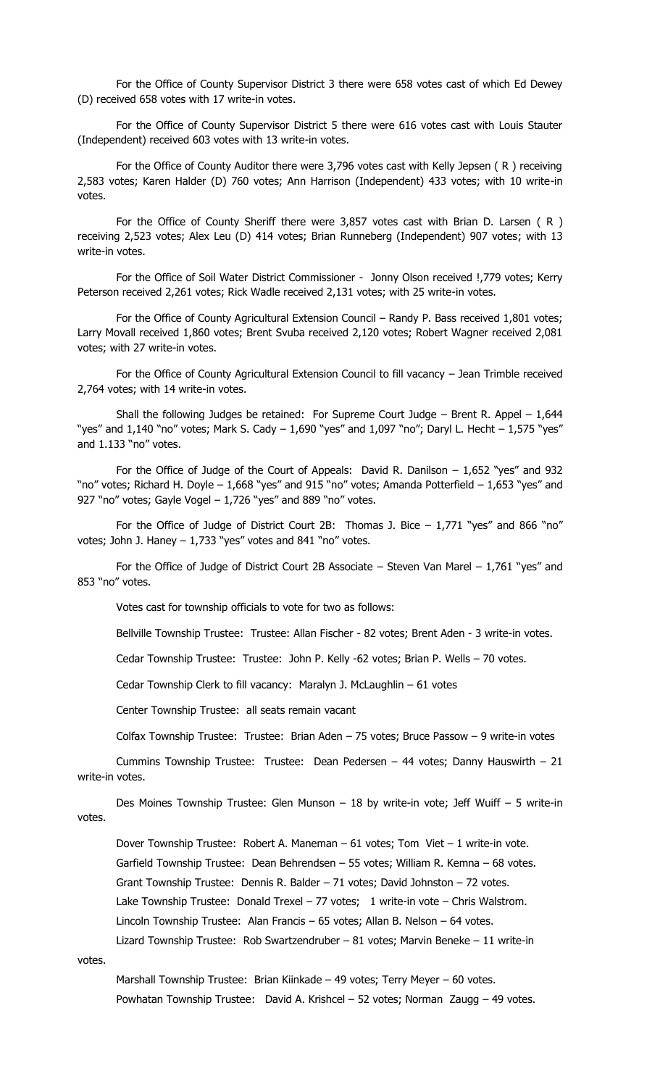For the Office of County Supervisor District 3 there were 658 votes cast of which Ed Dewey (D) received 658 votes with 17 write-in votes.

For the Office of County Supervisor District 5 there were 616 votes cast with Louis Stauter (Independent) received 603 votes with 13 write-in votes.

For the Office of County Auditor there were 3,796 votes cast with Kelly Jepsen ( R ) receiving 2,583 votes; Karen Halder (D) 760 votes; Ann Harrison (Independent) 433 votes; with 10 write-in votes.

For the Office of County Sheriff there were 3,857 votes cast with Brian D. Larsen ( R ) receiving 2,523 votes; Alex Leu (D) 414 votes; Brian Runneberg (Independent) 907 votes; with 13 write-in votes.

For the Office of Soil Water District Commissioner - Jonny Olson received !,779 votes; Kerry Peterson received 2,261 votes; Rick Wadle received 2,131 votes; with 25 write-in votes.

For the Office of County Agricultural Extension Council – Randy P. Bass received 1,801 votes; Larry Movall received 1,860 votes; Brent Svuba received 2,120 votes; Robert Wagner received 2,081 votes; with 27 write-in votes.

For the Office of County Agricultural Extension Council to fill vacancy – Jean Trimble received 2,764 votes; with 14 write-in votes.

Shall the following Judges be retained: For Supreme Court Judge – Brent R. Appel –  $1,644$ "yes" and 1,140 "no" votes; Mark S. Cady – 1,690 "yes" and 1,097 "no"; Daryl L. Hecht – 1,575 "yes" and 1.133 "no" votes.

For the Office of Judge of the Court of Appeals: David R. Danilson  $-1,652$  "yes" and 932 "no" votes; Richard H. Doyle – 1,668 "yes" and 915 "no" votes; Amanda Potterfield – 1,653 "yes" and 927 "no" votes; Gayle Vogel - 1,726 "yes" and 889 "no" votes.

For the Office of Judge of District Court 2B: Thomas J. Bice  $-1,771$  "yes" and 866 "no" votes; John J. Haney  $-1,733$  "yes" votes and 841 "no" votes.

For the Office of Judge of District Court 2B Associate – Steven Van Marel –  $1,761$  "yes" and 853 "no" votes.

Votes cast for township officials to vote for two as follows:

Bellville Township Trustee: Trustee: Allan Fischer - 82 votes; Brent Aden - 3 write-in votes.

Cedar Township Trustee: Trustee: John P. Kelly -62 votes; Brian P. Wells – 70 votes.

Cedar Township Clerk to fill vacancy: Maralyn J. McLaughlin – 61 votes

Center Township Trustee: all seats remain vacant

Colfax Township Trustee: Trustee: Brian Aden – 75 votes; Bruce Passow – 9 write-in votes

Cummins Township Trustee: Trustee: Dean Pedersen – 44 votes; Danny Hauswirth – 21 write-in votes.

Des Moines Township Trustee: Glen Munson – 18 by write-in vote; Jeff Wuiff – 5 write-in votes.

Dover Township Trustee: Robert A. Maneman – 61 votes; Tom Viet – 1 write-in vote.

Garfield Township Trustee: Dean Behrendsen – 55 votes; William R. Kemna – 68 votes.

Grant Township Trustee: Dennis R. Balder – 71 votes; David Johnston – 72 votes.

Lake Township Trustee: Donald Trexel - 77 votes; 1 write-in vote - Chris Walstrom.

Lincoln Township Trustee: Alan Francis – 65 votes; Allan B. Nelson – 64 votes.

Lizard Township Trustee: Rob Swartzendruber – 81 votes; Marvin Beneke – 11 write-in

votes.

Marshall Township Trustee: Brian Kiinkade – 49 votes; Terry Meyer – 60 votes. Powhatan Township Trustee: David A. Krishcel – 52 votes; Norman Zaugg – 49 votes.